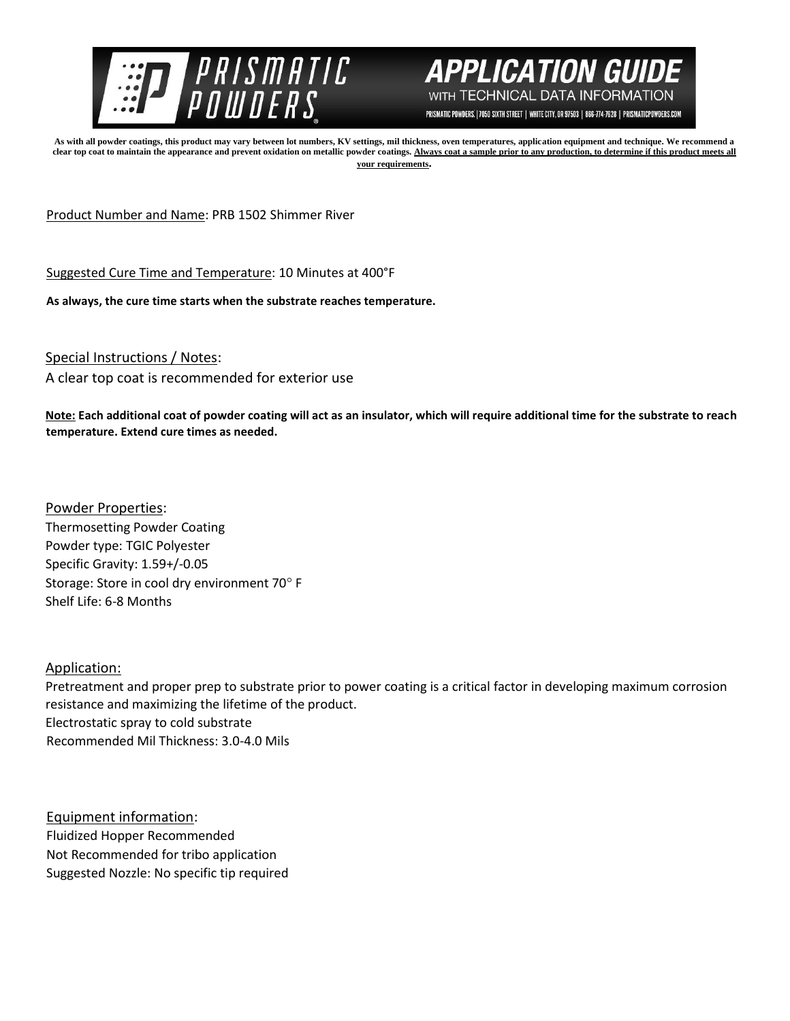



PRISMATIC POWDERS. | 7050 SIXTH STREET | WHITE CITY, OR 97503 | 866-774-7628 | PRISMATICPOWDERS.COM

**As with all powder coatings, this product may vary between lot numbers, KV settings, mil thickness, oven temperatures, application equipment and technique. We recommend a**  clear top coat to maintain the appearance and prevent oxidation on metallic powder coatings. Always coat a sample prior to any production, to determine if this product meets all **your requirements.** 

Product Number and Name: PRB 1502 Shimmer River

Suggested Cure Time and Temperature: 10 Minutes at 400°F

**As always, the cure time starts when the substrate reaches temperature.**

Special Instructions / Notes:

A clear top coat is recommended for exterior use

**Note: Each additional coat of powder coating will act as an insulator, which will require additional time for the substrate to reach temperature. Extend cure times as needed.** 

Powder Properties: Thermosetting Powder Coating Powder type: TGIC Polyester Specific Gravity: 1.59+/-0.05 Storage: Store in cool dry environment 70° F Shelf Life: 6-8 Months

Application:

Pretreatment and proper prep to substrate prior to power coating is a critical factor in developing maximum corrosion resistance and maximizing the lifetime of the product. Electrostatic spray to cold substrate Recommended Mil Thickness: 3.0-4.0 Mils

Equipment information: Fluidized Hopper Recommended Not Recommended for tribo application Suggested Nozzle: No specific tip required